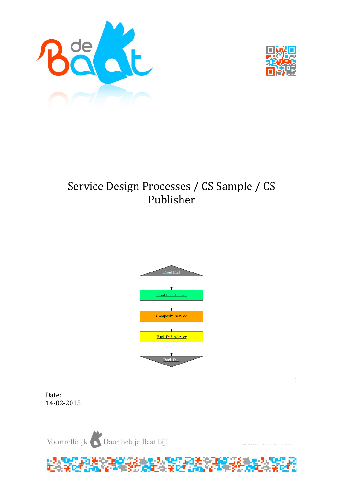



# Service Design Processes / CS Sample / CS Publisher



Date: 14-02-2015

Voortreffelijk Daar heb je Baat bij!

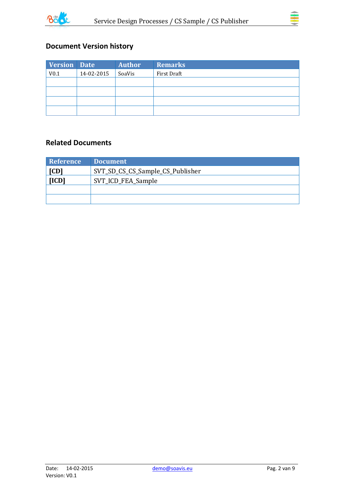



## **Document Version history**

| Version Date     |            | <b>Author</b> | <b>Remarks</b> |
|------------------|------------|---------------|----------------|
| V <sub>0.1</sub> | 14-02-2015 | SoaVis        | First Draft    |
|                  |            |               |                |
|                  |            |               |                |
|                  |            |               |                |
|                  |            |               |                |

### **Related Documents**

| Reference                   | <b>Document</b>                  |
|-----------------------------|----------------------------------|
| [CD]                        | SVT_SD_CS_CS_Sample_CS_Publisher |
| [ICD]<br>SVT_ICD_FEA_Sample |                                  |
|                             |                                  |
|                             |                                  |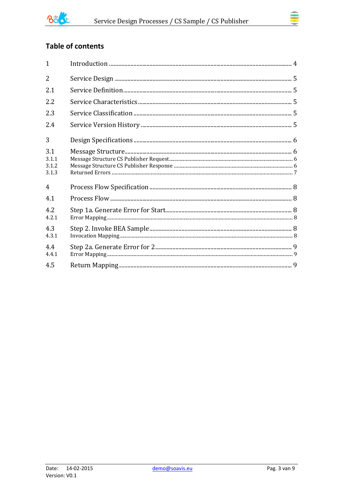

## **Table of contents**

| $\mathbf{1}$                   |  |
|--------------------------------|--|
| $\overline{2}$                 |  |
| 2.1                            |  |
| 2.2                            |  |
| 2.3                            |  |
| 2.4                            |  |
| 3                              |  |
| 3.1<br>3.1.1<br>3.1.2<br>3.1.3 |  |
| $\overline{4}$                 |  |
| 4.1                            |  |
| 4.2<br>4.2.1                   |  |
| 4.3<br>4.3.1                   |  |
| 4.4<br>4.4.1                   |  |
| 4.5                            |  |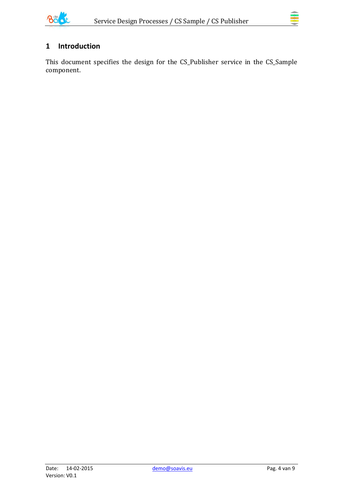

## <span id="page-3-0"></span>**1 Introduction**

This document specifies the design for the CS\_Publisher service in the CS\_Sample component.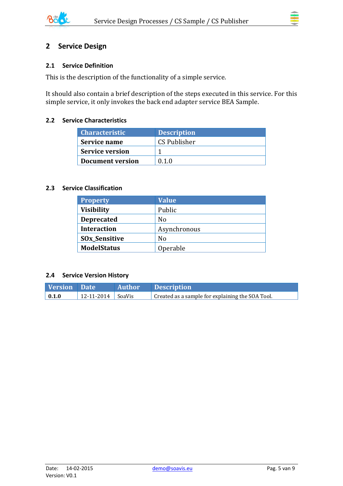

## <span id="page-4-0"></span>**2 Service Design**

#### <span id="page-4-1"></span>**2.1 Service Definition**

This is the description of the functionality of a simple service.

It should also contain a brief description of the steps executed in this service. For this simple service, it only invokes the back end adapter service BEA Sample.

#### <span id="page-4-2"></span>**2.2 Service Characteristics**

| <b>Characteristic</b>  | <b>Description</b> |
|------------------------|--------------------|
| Service name           | CS Publisher       |
| <b>Service version</b> |                    |
| Document version       | 0.1.0              |

#### <span id="page-4-3"></span>**2.3 Service Classification**

| <b>Property</b>                 | <b>Value</b>   |
|---------------------------------|----------------|
| <b>Visibility</b>               | Public         |
| <b>Deprecated</b>               | N <sub>0</sub> |
| <b>Interaction</b>              | Asynchronous   |
| <b>SO<sub>x</sub>_Sensitive</b> | No             |
| <b>ModelStatus</b>              | Operable       |

#### <span id="page-4-4"></span>**2.4 Service Version History**

| <b>Version</b> Date |                       | Author Description                               |
|---------------------|-----------------------|--------------------------------------------------|
| $\vert 0.1.0 \vert$ | $12-11-2014$   SoaVis | Created as a sample for explaining the SOA Tool. |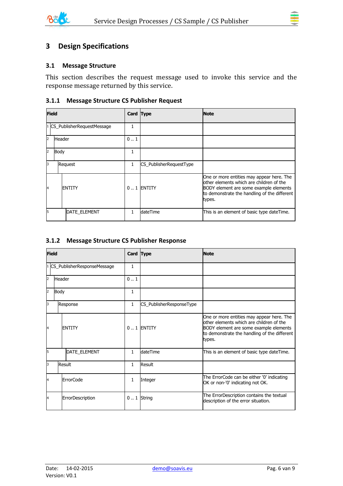

#### <span id="page-5-1"></span><span id="page-5-0"></span>**3.1 Message Structure**

This section describes the request message used to invoke this service and the response message returned by this service.

#### <span id="page-5-2"></span>**3.1.1 Message Structure CS Publisher Request**

| <b>Field</b>   |                              | Card Type |                         | <b>Note</b>                                                                                                                                                                                |
|----------------|------------------------------|-----------|-------------------------|--------------------------------------------------------------------------------------------------------------------------------------------------------------------------------------------|
|                | 1 CS_PublisherRequestMessage |           |                         |                                                                                                                                                                                            |
| 2              | <b>Header</b>                |           |                         |                                                                                                                                                                                            |
| $\overline{2}$ | Body                         |           |                         |                                                                                                                                                                                            |
| 3              | Request                      | 1         | CS_PublisherRequestType |                                                                                                                                                                                            |
| 14             | <b>IENTITY</b>               |           | $0.1$ ENTITY            | One or more entities may appear here. The<br>lother elements which are children of the<br>BODY element are some example elements<br>to demonstrate the handling of the different<br>types. |
| l5             | <b>DATE ELEMENT</b>          |           | dateTime                | This is an element of basic type dateTime.                                                                                                                                                 |

#### <span id="page-5-3"></span>**3.1.2 Message Structure CS Publisher Response**

| <b>Field</b>   |             |                             | Card Type    |                          | <b>Note</b>                                                                                                                                                                               |
|----------------|-------------|-----------------------------|--------------|--------------------------|-------------------------------------------------------------------------------------------------------------------------------------------------------------------------------------------|
|                |             | CS_PublisherResponseMessage | $\mathbf{1}$ |                          |                                                                                                                                                                                           |
| $\overline{2}$ | Header      |                             | 0.1          |                          |                                                                                                                                                                                           |
| $\overline{2}$ | <b>Body</b> |                             | 1            |                          |                                                                                                                                                                                           |
| 3              |             | Response                    | $\mathbf{1}$ | CS_PublisherResponseType |                                                                                                                                                                                           |
| 14             |             | <b>ENTITY</b>               |              | $0.1$ ENTITY             | One or more entities may appear here. The<br>other elements which are children of the<br>BODY element are some example elements<br>to demonstrate the handling of the different<br>types. |
| 5              |             | DATE_ELEMENT                | $\mathbf{1}$ | dateTime                 | This is an element of basic type dateTime.                                                                                                                                                |
| 3              |             | Result                      | 1            | Result                   |                                                                                                                                                                                           |
| 4              |             | <b>ErrorCode</b>            | $\mathbf{1}$ | Integer                  | The ErrorCode can be either '0' indicating<br>OK or non-'0' indicating not OK.                                                                                                            |
| 4              |             | ErrorDescription            |              | $0.1$ String             | The ErrorDescription contains the textual<br>description of the error situation.                                                                                                          |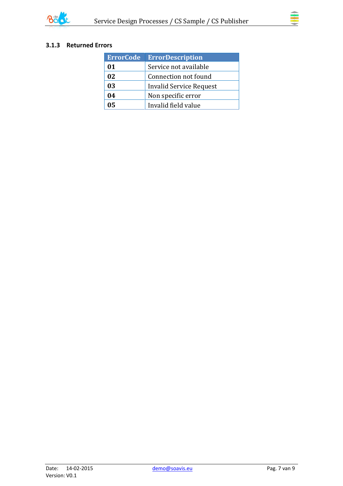

### <span id="page-6-0"></span>**3.1.3 Returned Errors**

| <b>ErrorCode</b> | <b>ErrorDescription</b> |
|------------------|-------------------------|
| 01               | Service not available   |
| 02               | Connection not found    |
| 03               | Invalid Service Request |
| 04               | Non specific error      |
|                  | Invalid field value     |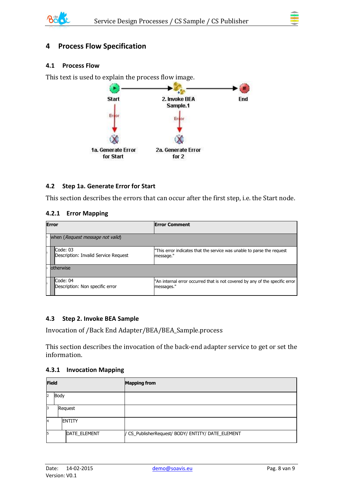

## <span id="page-7-0"></span>**4 Process Flow Specification**

#### <span id="page-7-1"></span>**4.1 Process Flow**

This text is used to explain the process flow image.



#### <span id="page-7-2"></span>**4.2 Step 1a. Generate Error for Start**

This section describes the errors that can occur after the first step, i.e. the Start node.

#### <span id="page-7-3"></span>**4.2.1 Error Mapping**

| <b>Error</b> |                                                  | <b>Error Comment</b>                                                                       |  |  |
|--------------|--------------------------------------------------|--------------------------------------------------------------------------------------------|--|--|
|              | when (Request message not valid)                 |                                                                                            |  |  |
|              | Code: 03<br>Description: Invalid Service Request | "This error indicates that the service was unable to parse the request<br>message."        |  |  |
|              | lotherwise                                       |                                                                                            |  |  |
|              | Code: 04<br>Description: Non specific error      | "An internal error occurred that is not covered by any of the specific error<br>messages." |  |  |

#### <span id="page-7-4"></span>**4.3 Step 2. Invoke BEA Sample**

Invocation of /Back End Adapter/BEA/BEA\_Sample.process

This section describes the invocation of the back-end adapter service to get or set the information.

#### <span id="page-7-5"></span>**4.3.1 Invocation Mapping**

|            | <b>Field</b> |                | <b>Mapping from</b>                               |
|------------|--------------|----------------|---------------------------------------------------|
| Body<br>12 |              |                |                                                   |
| 13         |              | Request        |                                                   |
| 4          |              | <b>IENTITY</b> |                                                   |
| 5          |              | DATE_ELEMENT   | / CS_PublisherRequest/ BODY/ ENTITY/ DATE_ELEMENT |